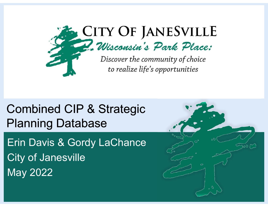

Erin Davis & Gordy LaChance City of Janesville May 2022

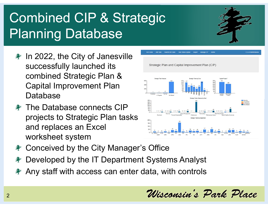- $*$  In 2022, the City of Janesville successfully launched its combined Strategic Plan & Capital Improvement Plan Database
- The Database connects CIP projects to Strategic Plan tasks and replaces an Excel worksheet system



- $*$  **Conceived by the City Manager's Office**
- Developed by the IT Department Systems Analyst
- Any staff with access can enter data, with controls

Wisconsin's Park Place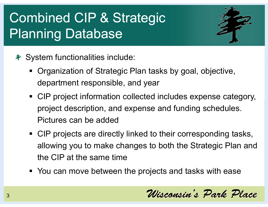

- $*$  **System functionalities include:** 
	- Organization of Strategic Plan tasks by goal, objective, department responsible, and year
	- CIP project information collected includes expense category, project description, and expense and funding schedules. Pictures can be added
	- CIP projects are directly linked to their corresponding tasks, allowing you to make changes to both the Strategic Plan and the CIP at the same time
	- You can move between the projects and tasks with ease

Wisconsin's Park Place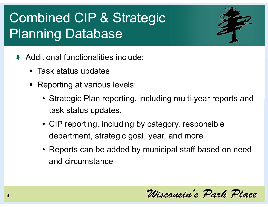

- Additional functionalities include:
	- Task status updates
	- **Reporting at various levels:** 
		- Strategic Plan reporting, including multi-year reports and task status updates.
		- CIP reporting, including by category, responsible department, strategic goal, year, and more
		- Reports can be added by municipal staff based on need and circumstance

Wisconsin's Park Place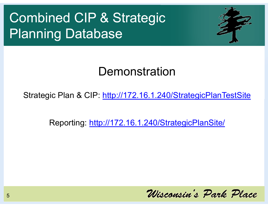

#### Demonstration

Strategic Plan & CIP: http://172.16.1.240/StrategicPlanTestSite

Reporting: http://172.16.1.240/StrategicPlanSite/

Wisconsin's Park Place